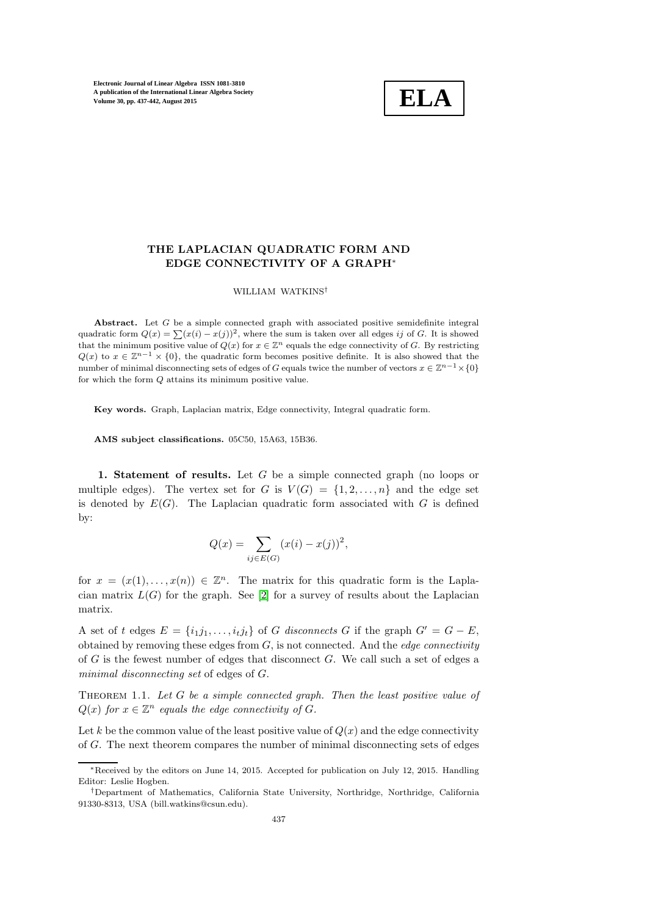

# THE LAPLACIAN QUADRATIC FORM AND EDGE CONNECTIVITY OF A GRAPH<sup>∗</sup>

### WILLIAM WATKINS†

Abstract. Let G be a simple connected graph with associated positive semidefinite integral quadratic form  $Q(x) = \sum (x(i) - x(j))^2$ , where the sum is taken over all edges ij of G. It is showed that the minimum positive value of  $Q(x)$  for  $x \in \mathbb{Z}^n$  equals the edge connectivity of G. By restricting  $Q(x)$  to  $x \in \mathbb{Z}^{n-1} \times \{0\}$ , the quadratic form becomes positive definite. It is also showed that the number of minimal disconnecting sets of edges of G equals twice the number of vectors  $x \in \mathbb{Z}^{n-1} \times \{0\}$ for which the form Q attains its minimum positive value.

Key words. Graph, Laplacian matrix, Edge connectivity, Integral quadratic form.

AMS subject classifications. 05C50, 15A63, 15B36.

1. Statement of results. Let G be a simple connected graph (no loops or multiple edges). The vertex set for G is  $V(G) = \{1, 2, ..., n\}$  and the edge set is denoted by  $E(G)$ . The Laplacian quadratic form associated with G is defined by:

$$
Q(x) = \sum_{ij \in E(G)} (x(i) - x(j))^2,
$$

for  $x = (x(1), \ldots, x(n)) \in \mathbb{Z}^n$ . The matrix for this quadratic form is the Laplacian matrix  $L(G)$  for the graph. See [\[2\]](#page-5-0) for a survey of results about the Laplacian matrix.

A set of t edges  $E = \{i_1j_1, \ldots, i_tj_t\}$  of G disconnects G if the graph  $G' = G - E$ , obtained by removing these edges from  $G$ , is not connected. And the *edge connectivity* of G is the fewest number of edges that disconnect G. We call such a set of edges a minimal disconnecting set of edges of G.

<span id="page-0-0"></span>THEOREM 1.1. Let  $G$  be a simple connected graph. Then the least positive value of  $Q(x)$  for  $x \in \mathbb{Z}^n$  equals the edge connectivity of G.

Let k be the common value of the least positive value of  $Q(x)$  and the edge connectivity of G. The next theorem compares the number of minimal disconnecting sets of edges

<sup>∗</sup>Received by the editors on June 14, 2015. Accepted for publication on July 12, 2015. Handling Editor: Leslie Hogben.

<sup>†</sup>Department of Mathematics, California State University, Northridge, Northridge, California 91330-8313, USA (bill.watkins@csun.edu).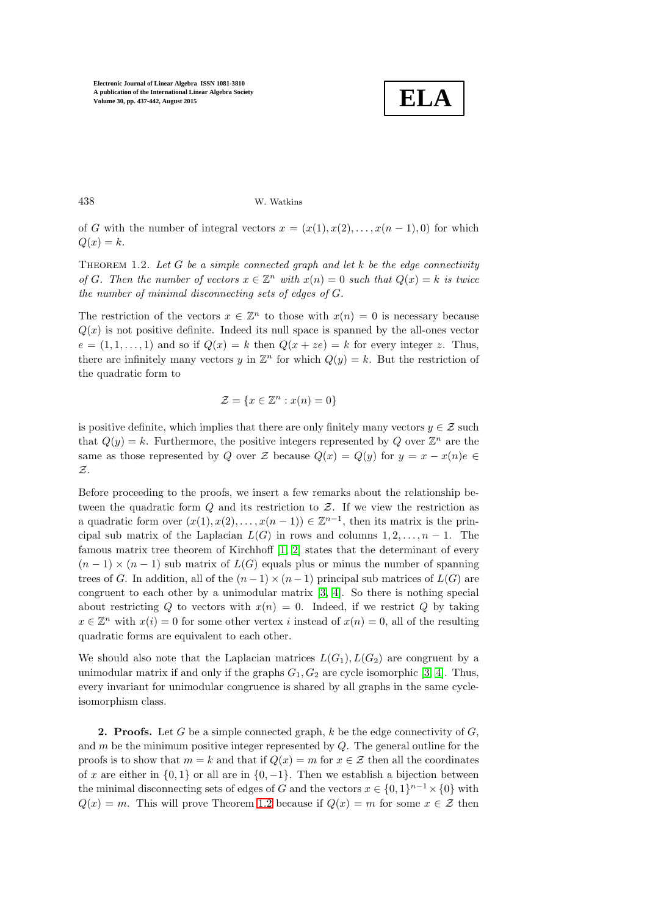

438 W. Watkins

<span id="page-1-0"></span>of G with the number of integral vectors  $x = (x(1), x(2), \ldots, x(n-1), 0)$  for which  $Q(x) = k.$ 

THEOREM 1.2. Let  $G$  be a simple connected graph and let  $k$  be the edge connectivity of G. Then the number of vectors  $x \in \mathbb{Z}^n$  with  $x(n) = 0$  such that  $Q(x) = k$  is twice the number of minimal disconnecting sets of edges of G.

The restriction of the vectors  $x \in \mathbb{Z}^n$  to those with  $x(n) = 0$  is necessary because  $Q(x)$  is not positive definite. Indeed its null space is spanned by the all-ones vector  $e = (1, 1, \ldots, 1)$  and so if  $Q(x) = k$  then  $Q(x + ze) = k$  for every integer z. Thus, there are infinitely many vectors y in  $\mathbb{Z}^n$  for which  $Q(y) = k$ . But the restriction of the quadratic form to

$$
\mathcal{Z} = \{x \in \mathbb{Z}^n : x(n) = 0\}
$$

is positive definite, which implies that there are only finitely many vectors  $y \in \mathcal{Z}$  such that  $Q(y) = k$ . Furthermore, the positive integers represented by Q over  $\mathbb{Z}^n$  are the same as those represented by Q over Z because  $Q(x) = Q(y)$  for  $y = x - x(n)e \in$ Z.

Before proceeding to the proofs, we insert a few remarks about the relationship between the quadratic form  $Q$  and its restriction to  $Z$ . If we view the restriction as a quadratic form over  $(x(1), x(2), \ldots, x(n-1)) \in \mathbb{Z}^{n-1}$ , then its matrix is the principal sub matrix of the Laplacian  $L(G)$  in rows and columns  $1, 2, \ldots, n-1$ . The famous matrix tree theorem of Kirchhoff [\[1,](#page-5-1) [2\]](#page-5-0) states that the determinant of every  $(n-1) \times (n-1)$  sub matrix of  $L(G)$  equals plus or minus the number of spanning trees of G. In addition, all of the  $(n-1) \times (n-1)$  principal sub matrices of  $L(G)$  are congruent to each other by a unimodular matrix [\[3,](#page-5-2) [4\]](#page-5-3). So there is nothing special about restricting Q to vectors with  $x(n) = 0$ . Indeed, if we restrict Q by taking  $x \in \mathbb{Z}^n$  with  $x(i) = 0$  for some other vertex i instead of  $x(n) = 0$ , all of the resulting quadratic forms are equivalent to each other.

We should also note that the Laplacian matrices  $L(G_1), L(G_2)$  are congruent by a unimodular matrix if and only if the graphs  $G_1, G_2$  are cycle isomorphic [\[3,](#page-5-2) [4\]](#page-5-3). Thus, every invariant for unimodular congruence is shared by all graphs in the same cycleisomorphism class.

**2. Proofs.** Let G be a simple connected graph,  $k$  be the edge connectivity of  $G$ , and  $m$  be the minimum positive integer represented by  $Q$ . The general outline for the proofs is to show that  $m = k$  and that if  $Q(x) = m$  for  $x \in \mathcal{Z}$  then all the coordinates of x are either in  $\{0, 1\}$  or all are in  $\{0, -1\}$ . Then we establish a bijection between the minimal disconnecting sets of edges of G and the vectors  $x \in \{0,1\}^{n-1} \times \{0\}$  with  $Q(x) = m$ . This will prove Theorem [1.2](#page-1-0) because if  $Q(x) = m$  for some  $x \in \mathcal{Z}$  then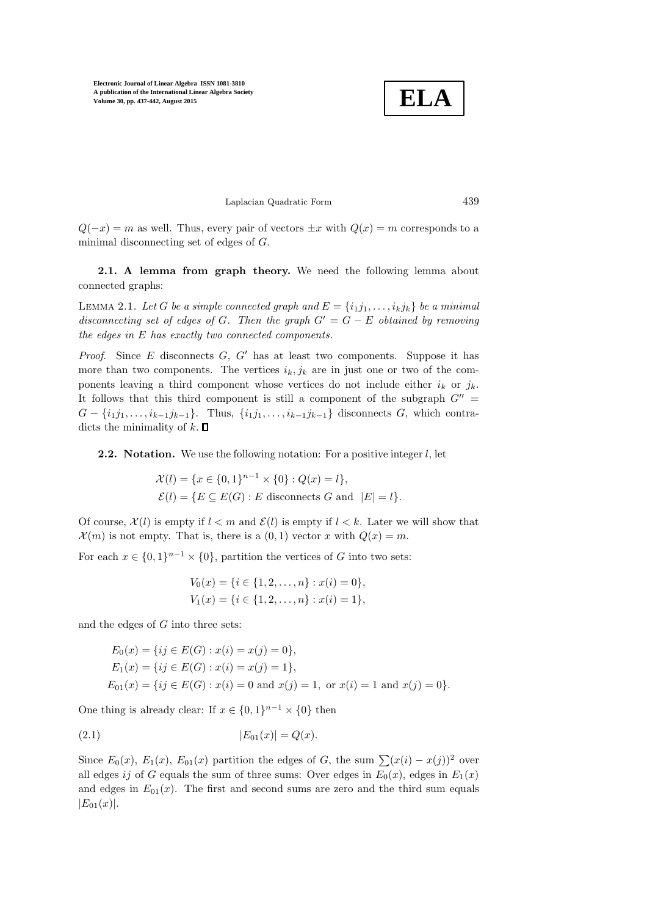

Laplacian Quadratic Form 439

 $Q(-x) = m$  as well. Thus, every pair of vectors  $\pm x$  with  $Q(x) = m$  corresponds to a minimal disconnecting set of edges of G.

<span id="page-2-0"></span>2.1. A lemma from graph theory. We need the following lemma about connected graphs:

LEMMA 2.1. Let G be a simple connected graph and  $E = \{i_1 j_1, \ldots, i_k j_k\}$  be a minimal disconnecting set of edges of G. Then the graph  $G' = G - E$  obtained by removing the edges in E has exactly two connected components.

*Proof.* Since  $E$  disconnects  $G$ ,  $G'$  has at least two components. Suppose it has more than two components. The vertices  $i_k, j_k$  are in just one or two of the components leaving a third component whose vertices do not include either  $i_k$  or  $j_k$ . It follows that this third component is still a component of the subgraph  $G'' =$  $G - \{i_1 j_1, \ldots, i_{k-1} j_{k-1}\}.$  Thus,  $\{i_1 j_1, \ldots, i_{k-1} j_{k-1}\}$  disconnects G, which contradicts the minimality of  $k$ .  $\Box$ 

**2.2.** Notation. We use the following notation: For a positive integer  $l$ , let

 $\mathcal{X}(l) = \{x \in \{0,1\}^{n-1} \times \{0\} : Q(x) = l\},\$  $\mathcal{E}(l) = \{E \subseteq E(G) : E \text{ disconnects } G \text{ and } |E| = l\}.$ 

Of course,  $\mathcal{X}(l)$  is empty if  $l < m$  and  $\mathcal{E}(l)$  is empty if  $l < k$ . Later we will show that  $\mathcal{X}(m)$  is not empty. That is, there is a  $(0, 1)$  vector x with  $Q(x) = m$ .

For each  $x \in \{0,1\}^{n-1} \times \{0\}$ , partition the vertices of G into two sets:

<span id="page-2-1"></span>
$$
V_0(x) = \{i \in \{1, 2, ..., n\} : x(i) = 0\},\
$$
  

$$
V_1(x) = \{i \in \{1, 2, ..., n\} : x(i) = 1\},\
$$

and the edges of  $G$  into three sets:

$$
E_0(x) = \{ij \in E(G) : x(i) = x(j) = 0\},
$$
  
\n
$$
E_1(x) = \{ij \in E(G) : x(i) = x(j) = 1\},
$$
  
\n
$$
E_{01}(x) = \{ij \in E(G) : x(i) = 0 \text{ and } x(j) = 1, \text{ or } x(i) = 1 \text{ and } x(j) = 0\}.
$$

One thing is already clear: If  $x \in \{0,1\}^{n-1} \times \{0\}$  then

(2.1) 
$$
|E_{01}(x)| = Q(x).
$$

Since  $E_0(x)$ ,  $E_1(x)$ ,  $E_{01}(x)$  partition the edges of G, the sum  $\sum (x(i) - x(j))^2$  over all edges ij of G equals the sum of three sums: Over edges in  $E_0(x)$ , edges in  $E_1(x)$ and edges in  $E_{01}(x)$ . The first and second sums are zero and the third sum equals  $|E_{01}(x)|.$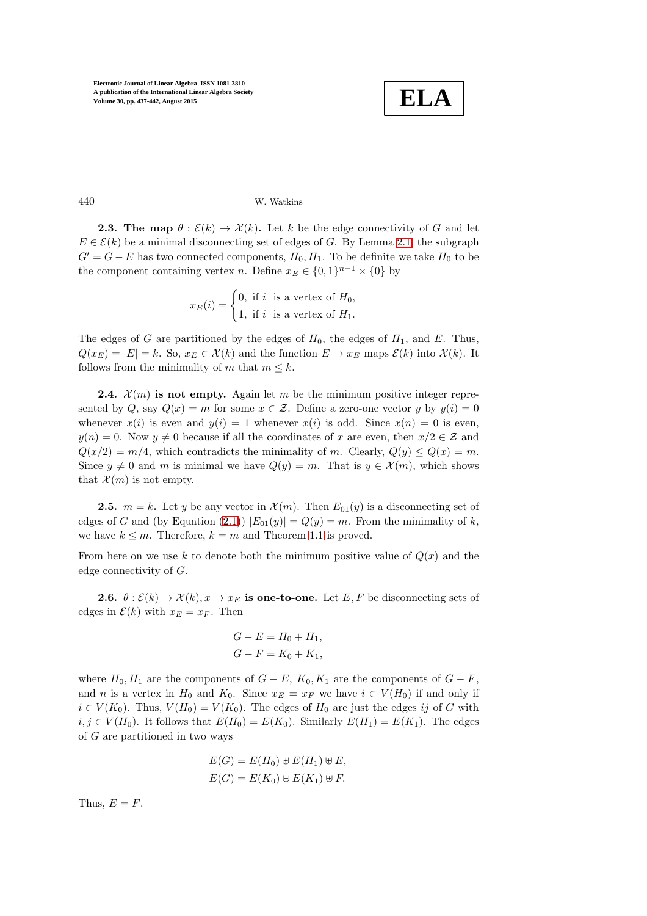

## 440 W. Watkins

**2.3. The map**  $\theta : \mathcal{E}(k) \to \mathcal{X}(k)$ . Let k be the edge connectivity of G and let  $E \in \mathcal{E}(k)$  be a minimal disconnecting set of edges of G. By Lemma [2.1,](#page-2-0) the subgraph  $G' = G - E$  has two connected components,  $H_0, H_1$ . To be definite we take  $H_0$  to be the component containing vertex *n*. Define  $x_E \in \{0,1\}^{n-1} \times \{0\}$  by

$$
x_E(i) = \begin{cases} 0, & \text{if } i \text{ is a vertex of } H_0, \\ 1, & \text{if } i \text{ is a vertex of } H_1. \end{cases}
$$

The edges of G are partitioned by the edges of  $H_0$ , the edges of  $H_1$ , and E. Thus,  $Q(x_E) = |E| = k$ . So,  $x_E \in \mathcal{X}(k)$  and the function  $E \to x_E$  maps  $\mathcal{E}(k)$  into  $\mathcal{X}(k)$ . It follows from the minimality of m that  $m \leq k$ .

<span id="page-3-0"></span>**2.4.**  $\mathcal{X}(m)$  is not empty. Again let m be the minimum positive integer represented by  $Q$ , say  $Q(x) = m$  for some  $x \in \mathcal{Z}$ . Define a zero-one vector y by  $y(i) = 0$ whenever  $x(i)$  is even and  $y(i) = 1$  whenever  $x(i)$  is odd. Since  $x(n) = 0$  is even,  $y(n) = 0$ . Now  $y \neq 0$  because if all the coordinates of x are even, then  $x/2 \in \mathcal{Z}$  and  $Q(x/2) = m/4$ , which contradicts the minimality of m. Clearly,  $Q(y) \leq Q(x) = m$ . Since  $y \neq 0$  and m is minimal we have  $Q(y) = m$ . That is  $y \in \mathcal{X}(m)$ , which shows that  $\mathcal{X}(m)$  is not empty.

**2.5.**  $m = k$ . Let y be any vector in  $\mathcal{X}(m)$ . Then  $E_{01}(y)$  is a disconnecting set of edges of G and (by Equation [\(2.1\)](#page-2-1))  $|E_{01}(y)| = Q(y) = m$ . From the minimality of k, we have  $k \leq m$ . Therefore,  $k = m$  and Theorem [1.1](#page-0-0) is proved.

From here on we use k to denote both the minimum positive value of  $Q(x)$  and the edge connectivity of G.

**2.6.**  $\theta : \mathcal{E}(k) \to \mathcal{X}(k), x \to x_E$  is one-to-one. Let E, F be disconnecting sets of edges in  $\mathcal{E}(k)$  with  $x_E = x_F$ . Then

$$
G - E = H_0 + H_1,
$$
  

$$
G - F = K_0 + K_1,
$$

where  $H_0, H_1$  are the components of  $G - E$ ,  $K_0, K_1$  are the components of  $G - F$ , and n is a vertex in  $H_0$  and  $K_0$ . Since  $x_E = x_F$  we have  $i \in V(H_0)$  if and only if  $i \in V(K_0)$ . Thus,  $V(H_0) = V(K_0)$ . The edges of  $H_0$  are just the edges ij of G with  $i, j \in V(H_0)$ . It follows that  $E(H_0) = E(K_0)$ . Similarly  $E(H_1) = E(K_1)$ . The edges of G are partitioned in two ways

$$
E(G) = E(H_0) \oplus E(H_1) \oplus E,
$$
  

$$
E(G) = E(K_0) \oplus E(K_1) \oplus F.
$$

Thus,  $E = F$ .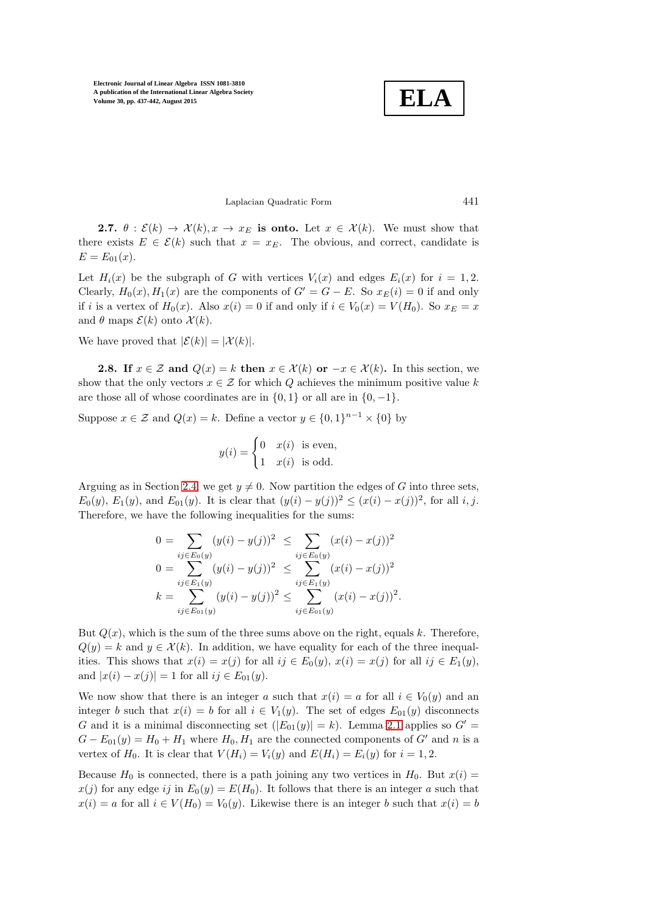**ELA**

### Laplacian Quadratic Form 441

**2.7.**  $\theta : \mathcal{E}(k) \to \mathcal{X}(k), x \to x_E$  is onto. Let  $x \in \mathcal{X}(k)$ . We must show that there exists  $E \in \mathcal{E}(k)$  such that  $x = x_E$ . The obvious, and correct, candidate is  $E = E_{01}(x)$ .

Let  $H_i(x)$  be the subgraph of G with vertices  $V_i(x)$  and edges  $E_i(x)$  for  $i = 1, 2$ . Clearly,  $H_0(x)$ ,  $H_1(x)$  are the components of  $G' = G - E$ . So  $x_E(i) = 0$  if and only if i is a vertex of  $H_0(x)$ . Also  $x(i) = 0$  if and only if  $i \in V_0(x) = V(H_0)$ . So  $x_E = x$ and  $\theta$  maps  $\mathcal{E}(k)$  onto  $\mathcal{X}(k)$ .

We have proved that  $|\mathcal{E}(k)| = |\mathcal{X}(k)|$ .

**2.8.** If  $x \in \mathcal{Z}$  and  $Q(x) = k$  then  $x \in \mathcal{X}(k)$  or  $-x \in \mathcal{X}(k)$ . In this section, we show that the only vectors  $x \in \mathcal{Z}$  for which Q achieves the minimum positive value k are those all of whose coordinates are in  $\{0, 1\}$  or all are in  $\{0, -1\}$ .

Suppose  $x \in \mathcal{Z}$  and  $Q(x) = k$ . Define a vector  $y \in \{0, 1\}^{n-1} \times \{0\}$  by

$$
y(i) = \begin{cases} 0 & x(i) \text{ is even,} \\ 1 & x(i) \text{ is odd.} \end{cases}
$$

Arguing as in Section [2.4,](#page-3-0) we get  $y \neq 0$ . Now partition the edges of G into three sets,  $E_0(y)$ ,  $E_1(y)$ , and  $E_{01}(y)$ . It is clear that  $(y(i) - y(j))^2 \leq (x(i) - x(j))^2$ , for all *i*, *j*. Therefore, we have the following inequalities for the sums:

$$
0 = \sum_{ij \in E_0(y)} (y(i) - y(j))^2 \le \sum_{ij \in E_0(y)} (x(i) - x(j))^2
$$
  
\n
$$
0 = \sum_{ij \in E_1(y)} (y(i) - y(j))^2 \le \sum_{ij \in E_1(y)} (x(i) - x(j))^2
$$
  
\n
$$
k = \sum_{ij \in E_0(y)} (y(i) - y(j))^2 \le \sum_{ij \in E_0(y)} (x(i) - x(j))^2.
$$

But  $Q(x)$ , which is the sum of the three sums above on the right, equals k. Therefore,  $Q(y) = k$  and  $y \in \mathcal{X}(k)$ . In addition, we have equality for each of the three inequalities. This shows that  $x(i) = x(j)$  for all  $ij \in E_0(y)$ ,  $x(i) = x(j)$  for all  $ij \in E_1(y)$ , and  $|x(i) - x(j)| = 1$  for all  $ij \in E_{01}(y)$ .

We now show that there is an integer a such that  $x(i) = a$  for all  $i \in V_0(y)$  and an integer b such that  $x(i) = b$  for all  $i \in V_1(y)$ . The set of edges  $E_{01}(y)$  disconnects G and it is a minimal disconnecting set  $(|E_{01}(y)| = k)$ . Lemma [2.1](#page-2-0) applies so  $G' =$  $G - E_{01}(y) = H_0 + H_1$  where  $H_0, H_1$  are the connected components of G' and n is a vertex of  $H_0$ . It is clear that  $V(H_i) = V_i(y)$  and  $E(H_i) = E_i(y)$  for  $i = 1, 2$ .

Because  $H_0$  is connected, there is a path joining any two vertices in  $H_0$ . But  $x(i)$  =  $x(j)$  for any edge ij in  $E_0(y) = E(H_0)$ . It follows that there is an integer a such that  $x(i) = a$  for all  $i \in V(H_0) = V_0(y)$ . Likewise there is an integer b such that  $x(i) = b$